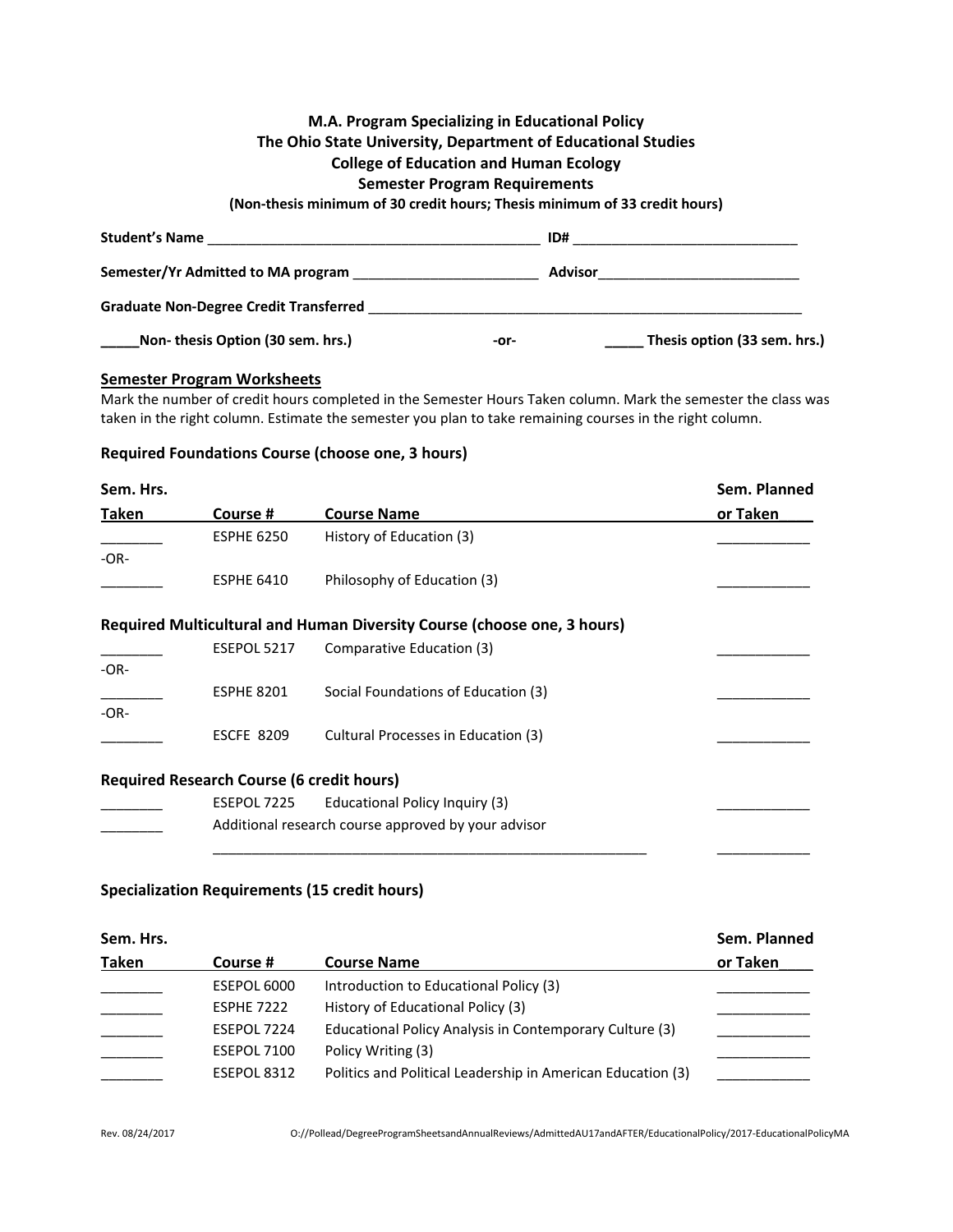# **M.A. Program Specializing in Educational Policy The Ohio State University, Department of Educational Studies College of Education and Human Ecology Semester Program Requirements (Non-thesis minimum of 30 credit hours; Thesis minimum of 33 credit hours) Student's Name** \_\_\_\_\_\_\_\_\_\_\_\_\_\_\_\_\_\_\_\_\_\_\_\_\_\_\_\_\_\_\_\_\_\_\_\_\_\_\_\_\_\_\_ **ID#** \_\_\_\_\_\_\_\_\_\_\_\_\_\_\_\_\_\_\_\_\_\_\_\_\_\_\_\_\_

| ----------------                              |      |                              |
|-----------------------------------------------|------|------------------------------|
| Semester/Yr Admitted to MA program            |      | <b>Advisor</b>               |
| <b>Graduate Non-Degree Credit Transferred</b> |      |                              |
| Non-thesis Option (30 sem. hrs.)              | -or- | Thesis option (33 sem. hrs.) |

### **Semester Program Worksheets**

Mark the number of credit hours completed in the Semester Hours Taken column. Mark the semester the class was taken in the right column. Estimate the semester you plan to take remaining courses in the right column.

### **Required Foundations Course (choose one, 3 hours)**

| Sem. Hrs. |                                                  |                                                                         | Sem. Planned |
|-----------|--------------------------------------------------|-------------------------------------------------------------------------|--------------|
| Taken     | Course #                                         | <b>Course Name</b>                                                      | or Taken     |
|           | <b>ESPHE 6250</b>                                | History of Education (3)                                                |              |
| $-OR-$    |                                                  |                                                                         |              |
|           | <b>ESPHE 6410</b>                                | Philosophy of Education (3)                                             |              |
|           |                                                  | Required Multicultural and Human Diversity Course (choose one, 3 hours) |              |
|           | ESEPOL 5217                                      | Comparative Education (3)                                               |              |
| $-OR-$    |                                                  |                                                                         |              |
|           | <b>ESPHE 8201</b>                                | Social Foundations of Education (3)                                     |              |
| $-OR-$    |                                                  |                                                                         |              |
|           | <b>ESCFE 8209</b>                                | Cultural Processes in Education (3)                                     |              |
|           | <b>Required Research Course (6 credit hours)</b> |                                                                         |              |
|           | ESEPOL 7225                                      | Educational Policy Inquiry (3)                                          |              |
|           |                                                  | Additional research course approved by your advisor                     |              |
|           |                                                  |                                                                         |              |

## **Specialization Requirements (15 credit hours)**

| Sem. Hrs.    |                   |                                                             | Sem. Planned |
|--------------|-------------------|-------------------------------------------------------------|--------------|
| <b>Taken</b> | Course #          | <b>Course Name</b>                                          | or Taken     |
|              | ESEPOL 6000       | Introduction to Educational Policy (3)                      |              |
|              | <b>ESPHE 7222</b> | History of Educational Policy (3)                           |              |
|              | ESEPOL 7224       | Educational Policy Analysis in Contemporary Culture (3)     |              |
|              | ESEPOL 7100       | Policy Writing (3)                                          |              |
|              | ESEPOL 8312       | Politics and Political Leadership in American Education (3) |              |
|              |                   |                                                             |              |

Rev. 08/24/2017 O://Pollead/DegreeProgramSheetsandAnnualReviews/AdmittedAU17andAFTER/EducationalPolicy/2017-EducationalPolicyMA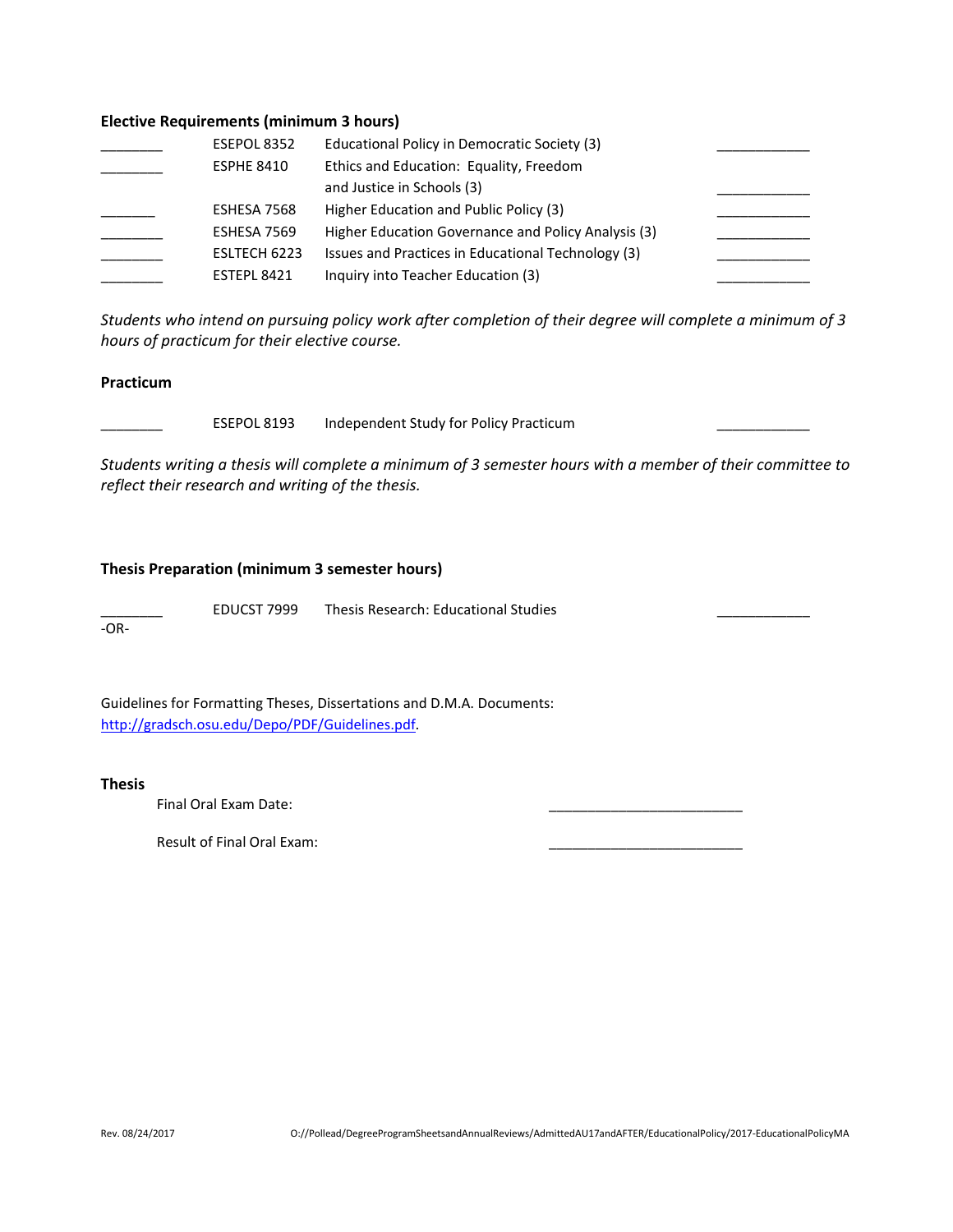#### **Elective Requirements (minimum 3 hours)**

| ESEPOL 8352        | Educational Policy in Democratic Society (3)        |  |
|--------------------|-----------------------------------------------------|--|
| <b>ESPHE 8410</b>  | Ethics and Education: Equality, Freedom             |  |
|                    | and Justice in Schools (3)                          |  |
| ESHESA 7568        | Higher Education and Public Policy (3)              |  |
| ESHESA 7569        | Higher Education Governance and Policy Analysis (3) |  |
| ESLTECH 6223       | Issues and Practices in Educational Technology (3)  |  |
| <b>ESTEPL 8421</b> | Inquiry into Teacher Education (3)                  |  |

*Students who intend on pursuing policy work after completion of their degree will complete a minimum of 3 hours of practicum for their elective course.*

#### **Practicum**

ESEPOL 8193 Independent Study for Policy Practicum

*Students writing a thesis will complete a minimum of 3 semester hours with a member of their committee to reflect their research and writing of the thesis.*

#### **Thesis Preparation (minimum 3 semester hours)**

EDUCST 7999 Thesis Research: Educational Studies

-OR-

Guidelines for Formatting Theses, Dissertations and D.M.A. Documents: [http://gradsch.osu.edu/Depo/PDF/Guidelines.pdf.](http://gradsch.osu.edu/Depo/PDF/Guidelines.pdf)

**Thesis**

Final Oral Exam Date:

Result of Final Oral Exam: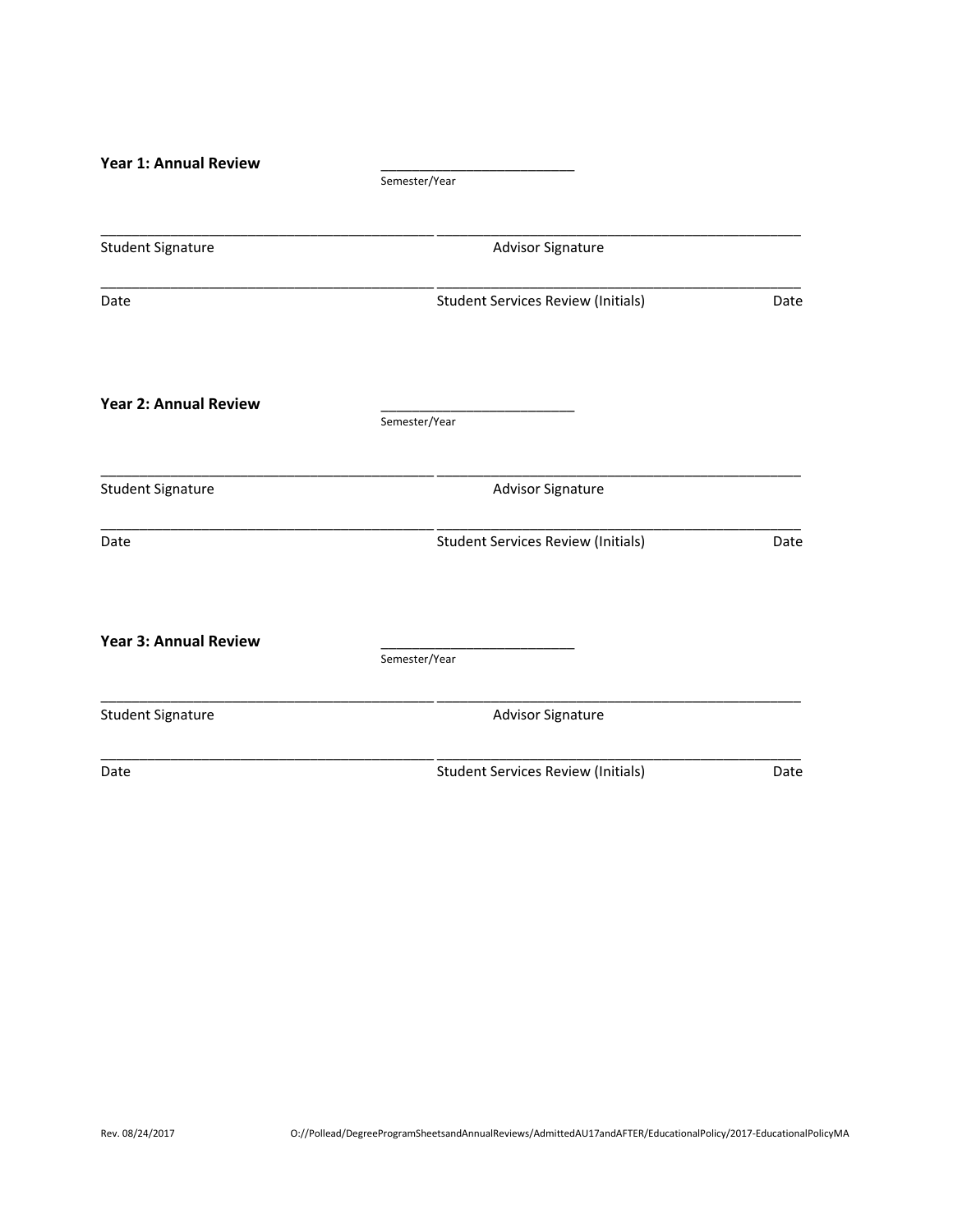| <b>Year 1: Annual Review</b> |                                           |      |
|------------------------------|-------------------------------------------|------|
|                              | Semester/Year                             |      |
|                              |                                           |      |
| <b>Student Signature</b>     | Advisor Signature                         |      |
| Date                         | <b>Student Services Review (Initials)</b> | Date |
| <b>Year 2: Annual Review</b> | Semester/Year                             |      |
| <b>Student Signature</b>     | <b>Advisor Signature</b>                  |      |
| Date                         | <b>Student Services Review (Initials)</b> | Date |
| <b>Year 3: Annual Review</b> | Semester/Year                             |      |
| <b>Student Signature</b>     | <b>Advisor Signature</b>                  |      |
| Date                         | <b>Student Services Review (Initials)</b> | Date |